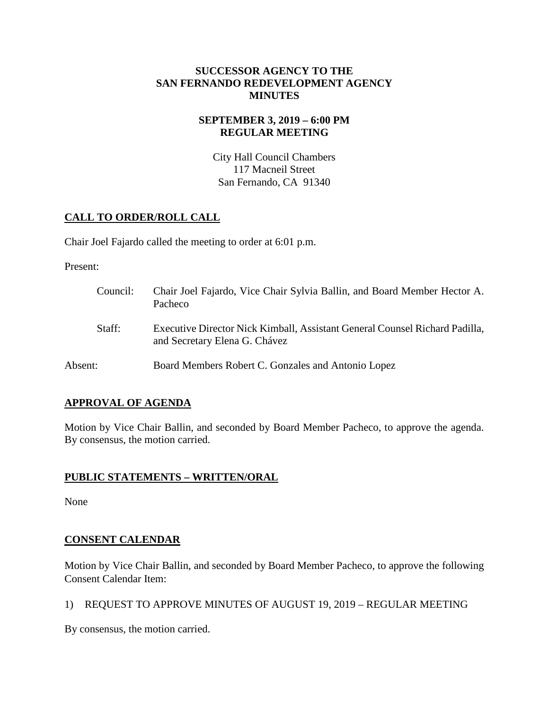### **SUCCESSOR AGENCY TO THE SAN FERNANDO REDEVELOPMENT AGENCY MINUTES**

### **SEPTEMBER 3, 2019 – 6:00 PM REGULAR MEETING**

City Hall Council Chambers 117 Macneil Street San Fernando, CA 91340

# **CALL TO ORDER/ROLL CALL**

Chair Joel Fajardo called the meeting to order at 6:01 p.m.

Present:

Council: Chair Joel Fajardo, Vice Chair Sylvia Ballin, and Board Member Hector A. Pacheco Staff: Executive Director Nick Kimball, Assistant General Counsel Richard Padilla, and Secretary Elena G. Chávez Absent: Board Members Robert C. Gonzales and Antonio Lopez

# **APPROVAL OF AGENDA**

Motion by Vice Chair Ballin, and seconded by Board Member Pacheco, to approve the agenda. By consensus, the motion carried.

## **PUBLIC STATEMENTS – WRITTEN/ORAL**

None

# **CONSENT CALENDAR**

Motion by Vice Chair Ballin, and seconded by Board Member Pacheco, to approve the following Consent Calendar Item:

1) REQUEST TO APPROVE MINUTES OF AUGUST 19, 2019 – REGULAR MEETING

By consensus, the motion carried.